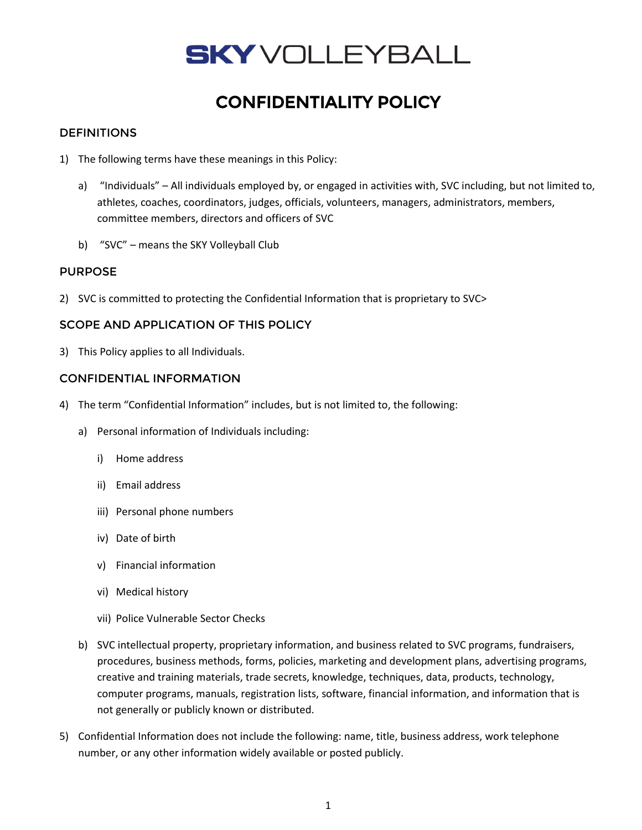# **SKY** VOLLEYBALL

## CONFIDENTIALITY POLICY

### **DEFINITIONS**

- 1) The following terms have these meanings in this Policy:
	- a) "Individuals" All individuals employed by, or engaged in activities with, SVC including, but not limited to, athletes, coaches, coordinators, judges, officials, volunteers, managers, administrators, members, committee members, directors and officers of SVC
	- b) "SVC" means the SKY Volleyball Club

#### PURPOSE

2) SVC is committed to protecting the Confidential Information that is proprietary to SVC>

#### SCOPE AND APPLICATION OF THIS POLICY

3) This Policy applies to all Individuals.

#### CONFIDENTIAL INFORMATION

- 4) The term "Confidential Information" includes, but is not limited to, the following:
	- a) Personal information of Individuals including:
		- i) Home address
		- ii) Email address
		- iii) Personal phone numbers
		- iv) Date of birth
		- v) Financial information
		- vi) Medical history
		- vii) Police Vulnerable Sector Checks
	- b) SVC intellectual property, proprietary information, and business related to SVC programs, fundraisers, procedures, business methods, forms, policies, marketing and development plans, advertising programs, creative and training materials, trade secrets, knowledge, techniques, data, products, technology, computer programs, manuals, registration lists, software, financial information, and information that is not generally or publicly known or distributed.
- 5) Confidential Information does not include the following: name, title, business address, work telephone number, or any other information widely available or posted publicly.